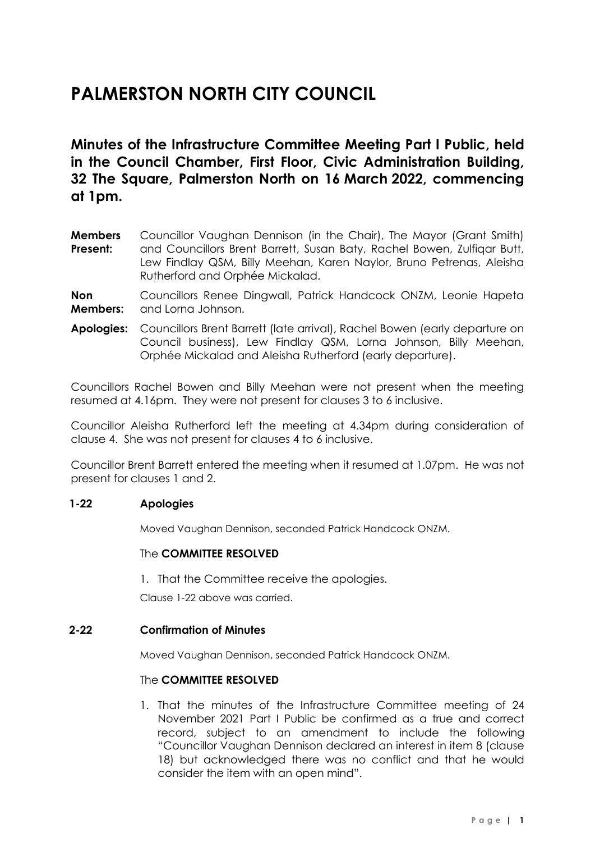# **PALMERSTON NORTH CITY COUNCIL**

**Minutes of the Infrastructure Committee Meeting Part I Public, held in the Council Chamber, First Floor, Civic Administration Building, 32 The Square, Palmerston North on 16 March 2022, commencing at 1pm.**

**Members Present:** Councillor Vaughan Dennison (in the Chair), The Mayor (Grant Smith) and Councillors Brent Barrett, Susan Baty, Rachel Bowen, Zulfiqar Butt, Lew Findlay QSM, Billy Meehan, Karen Naylor, Bruno Petrenas, Aleisha Rutherford and Orphée Mickalad.

**Non Members:** Councillors Renee Dingwall, Patrick Handcock ONZM, Leonie Hapeta and Lorna Johnson.

**Apologies:** Councillors Brent Barrett (late arrival), Rachel Bowen (early departure on Council business), Lew Findlay QSM, Lorna Johnson, Billy Meehan, Orphée Mickalad and Aleisha Rutherford (early departure).

Councillors Rachel Bowen and Billy Meehan were not present when the meeting resumed at 4.16pm. They were not present for clauses 3 to 6 inclusive.

Councillor Aleisha Rutherford left the meeting at 4.34pm during consideration of clause 4. She was not present for clauses 4 to 6 inclusive.

Councillor Brent Barrett entered the meeting when it resumed at 1.07pm. He was not present for clauses 1 and 2.

#### **1-22 Apologies**

Moved Vaughan Dennison, seconded Patrick Handcock ONZM.

#### The **COMMITTEE RESOLVED**

1. That the Committee receive the apologies.

Clause 1-22 above was carried.

#### **2-22 Confirmation of Minutes**

Moved Vaughan Dennison, seconded Patrick Handcock ONZM.

#### The **COMMITTEE RESOLVED**

1. That the minutes of the Infrastructure Committee meeting of 24 November 2021 Part I Public be confirmed as a true and correct record, subject to an amendment to include the following "Councillor Vaughan Dennison declared an interest in item 8 (clause 18) but acknowledged there was no conflict and that he would consider the item with an open mind".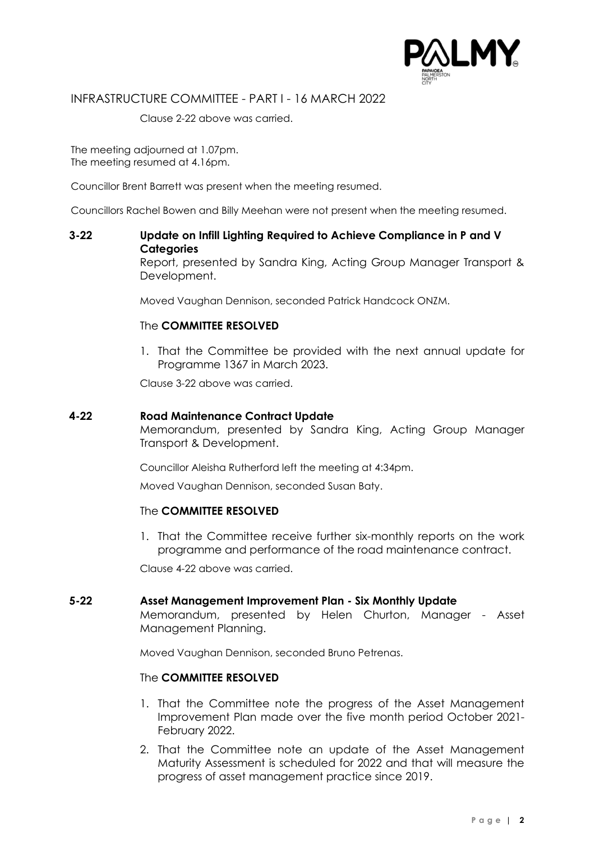

INFRASTRUCTURE COMMITTEE - PART I - 16 MARCH 2022

Clause 2-22 above was carried.

The meeting adjourned at 1.07pm. The meeting resumed at 4.16pm.

Councillor Brent Barrett was present when the meeting resumed.

Councillors Rachel Bowen and Billy Meehan were not present when the meeting resumed.

### **3-22 Update on Infill Lighting Required to Achieve Compliance in P and V Categories**

Report, presented by Sandra King, Acting Group Manager Transport & Development.

Moved Vaughan Dennison, seconded Patrick Handcock ONZM.

#### The **COMMITTEE RESOLVED**

1. That the Committee be provided with the next annual update for Programme 1367 in March 2023.

Clause 3-22 above was carried.

#### **4-22 Road Maintenance Contract Update**

Memorandum, presented by Sandra King, Acting Group Manager Transport & Development.

Councillor Aleisha Rutherford left the meeting at 4:34pm.

Moved Vaughan Dennison, seconded Susan Baty.

#### The **COMMITTEE RESOLVED**

1. That the Committee receive further six-monthly reports on the work programme and performance of the road maintenance contract.

Clause 4-22 above was carried.

#### **5-22 Asset Management Improvement Plan - Six Monthly Update**

Memorandum, presented by Helen Churton, Manager - Asset Management Planning.

Moved Vaughan Dennison, seconded Bruno Petrenas.

#### The **COMMITTEE RESOLVED**

- 1. That the Committee note the progress of the Asset Management Improvement Plan made over the five month period October 2021- February 2022.
- 2. That the Committee note an update of the Asset Management Maturity Assessment is scheduled for 2022 and that will measure the progress of asset management practice since 2019.